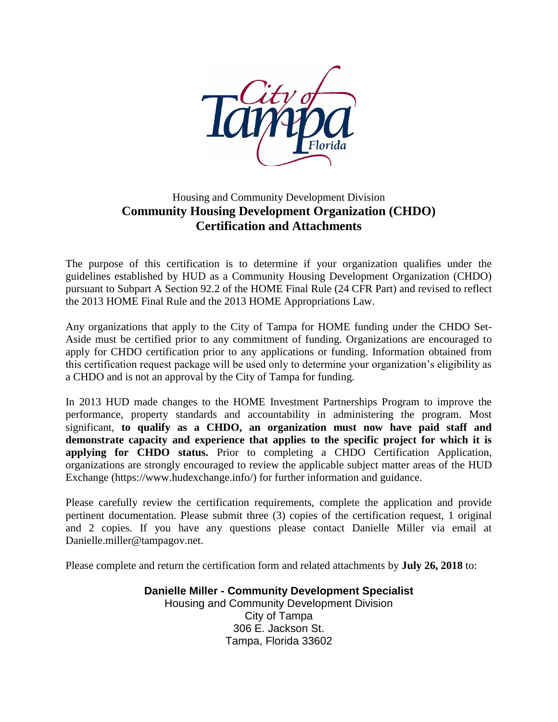

# Housing and Community Development Division **Community Housing Development Organization (CHDO) Certification and Attachments**

The purpose of this certification is to determine if your organization qualifies under the guidelines established by HUD as a Community Housing Development Organization (CHDO) pursuant to Subpart A Section 92.2 of the HOME Final Rule (24 CFR Part) and revised to reflect the 2013 HOME Final Rule and the 2013 HOME Appropriations Law.

Any organizations that apply to the City of Tampa for HOME funding under the CHDO Set-Aside must be certified prior to any commitment of funding. Organizations are encouraged to apply for CHDO certification prior to any applications or funding. Information obtained from this certification request package will be used only to determine your organization's eligibility as a CHDO and is not an approval by the City of Tampa for funding.

In 2013 HUD made changes to the HOME Investment Partnerships Program to improve the performance, property standards and accountability in administering the program. Most significant, **to qualify as a CHDO, an organization must now have paid staff and demonstrate capacity and experience that applies to the specific project for which it is applying for CHDO status.** Prior to completing a CHDO Certification Application, organizations are strongly encouraged to review the applicable subject matter areas of the HUD Exchange (https://www.hudexchange.info/) for further information and guidance.

Please carefully review the certification requirements, complete the application and provide pertinent documentation. Please submit three (3) copies of the certification request, 1 original and 2 copies. If you have any questions please contact Danielle Miller via email at Danielle.miller@tampagov.net.

Please complete and return the certification form and related attachments by **July 26, 2018** to:

**Danielle Miller - Community Development Specialist** Housing and Community Development Division City of Tampa 306 E. Jackson St. Tampa, Florida 33602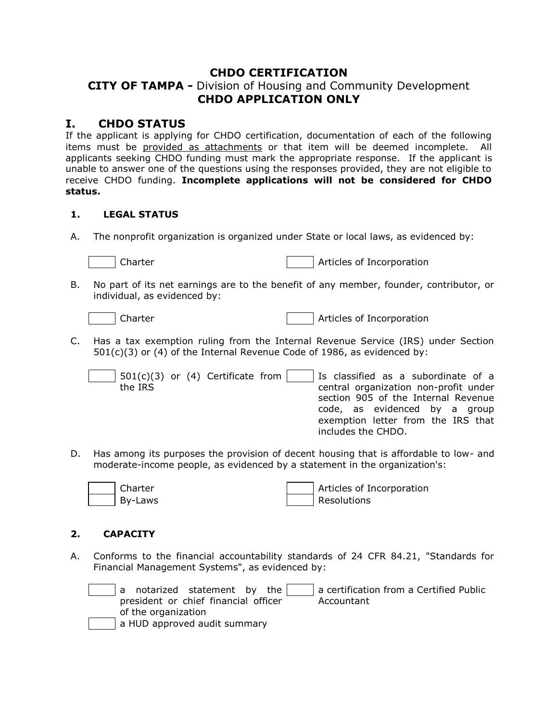## **CHDO CERTIFICATION**

# **CITY OF TAMPA -** Division of Housing and Community Development **CHDO APPLICATION ONLY**

# **I. CHDO STATUS**

If the applicant is applying for CHDO certification, documentation of each of the following items must be provided as attachments or that item will be deemed incomplete. All applicants seeking CHDO funding must mark the appropriate response. If the applicant is unable to answer one of the questions using the responses provided, they are not eligible to receive CHDO funding. **Incomplete applications will not be considered for CHDO status.**

#### **1. LEGAL STATUS**

A. The nonprofit organization is organized under State or local laws, as evidenced by:

Charter **Articles of Incorporation** 

B. No part of its net earnings are to the benefit of any member, founder, contributor, or individual, as evidenced by:

Charter **Articles of Incorporation** 

- C. Has a tax exemption ruling from the Internal Revenue Service (IRS) under Section 501(c)(3) or (4) of the Internal Revenue Code of 1986, as evidenced by:
	- $501(c)(3)$  or (4) Certificate from the IRS Is classified as a subordinate of a central organization non-profit under section 905 of the Internal Revenue code, as evidenced by a group exemption letter from the IRS that includes the CHDO.
- D. Has among its purposes the provision of decent housing that is affordable to low- and moderate-income people, as evidenced by a statement in the organization's:



Charter **Articles of Incorporation** By-Laws and a set of the set of the Resolutions in the Resolutions of the Resolutions of the Resolutions of the Resolutions of the Resolutions of the Resolutions of the Resolutions of the Resolutions of the Resolutions of

#### **2. CAPACITY**

A. Conforms to the financial accountability standards of 24 CFR 84.21, "Standards for Financial Management Systems", as evidenced by:

| a certification from a Certified Public<br>a notarized statement by the |
|-------------------------------------------------------------------------|
| president or chief financial officer<br>Accountant                      |
| of the organization                                                     |
| a HUD approved audit summary                                            |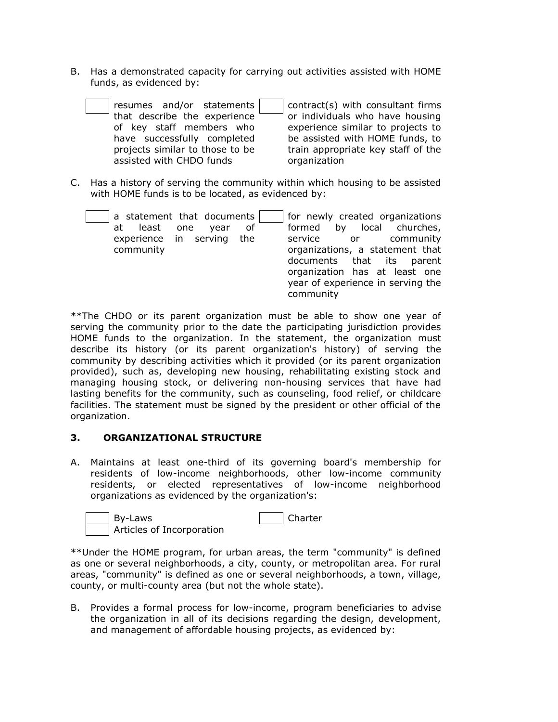B. Has a demonstrated capacity for carrying out activities assisted with HOME funds, as evidenced by:

| resumes and/or statements       | contract(s) with consultant firms  |
|---------------------------------|------------------------------------|
| that describe the experience    | or individuals who have housing    |
| of key staff members who        | experience similar to projects to  |
| have successfully completed     | be assisted with HOME funds, to    |
| projects similar to those to be | train appropriate key staff of the |
| assisted with CHDO funds        | organization                       |
|                                 |                                    |

C. Has a history of serving the community within which housing to be assisted with HOME funds is to be located, as evidenced by:

| least one<br>at<br>community | a statement that documents<br>vear<br>experience in serving the | .of | formed<br>service<br>community | by | for newly created organizations<br>local churches,<br>or community<br>organizations, a statement that<br>documents that its parent<br>organization has at least one<br>year of experience in serving the |
|------------------------------|-----------------------------------------------------------------|-----|--------------------------------|----|----------------------------------------------------------------------------------------------------------------------------------------------------------------------------------------------------------|
|                              |                                                                 |     |                                |    |                                                                                                                                                                                                          |

\*\*The CHDO or its parent organization must be able to show one year of serving the community prior to the date the participating jurisdiction provides HOME funds to the organization. In the statement, the organization must describe its history (or its parent organization's history) of serving the community by describing activities which it provided (or its parent organization provided), such as, developing new housing, rehabilitating existing stock and managing housing stock, or delivering non-housing services that have had lasting benefits for the community, such as counseling, food relief, or childcare facilities. The statement must be signed by the president or other official of the organization.

#### **3. ORGANIZATIONAL STRUCTURE**

A. Maintains at least one-third of its governing board's membership for residents of low-income neighborhoods, other low-income community residents, or elected representatives of low-income neighborhood organizations as evidenced by the organization's:



\*\*Under the HOME program, for urban areas, the term "community" is defined as one or several neighborhoods, a city, county, or metropolitan area. For rural areas, "community" is defined as one or several neighborhoods, a town, village, county, or multi-county area (but not the whole state).

B. Provides a formal process for low-income, program beneficiaries to advise the organization in all of its decisions regarding the design, development, and management of affordable housing projects, as evidenced by: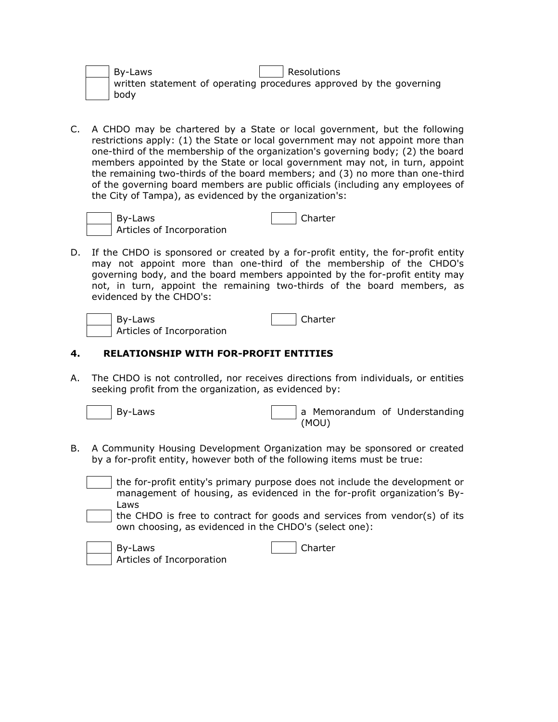|  | By-Laws | Resolutions                                                         |
|--|---------|---------------------------------------------------------------------|
|  |         | written statement of operating procedures approved by the governing |
|  | l bodv  |                                                                     |

C. A CHDO may be chartered by a State or local government, but the following restrictions apply: (1) the State or local government may not appoint more than one-third of the membership of the organization's governing body; (2) the board members appointed by the State or local government may not, in turn, appoint the remaining two-thirds of the board members; and (3) no more than one-third of the governing board members are public officials (including any employees of the City of Tampa), as evidenced by the organization's:



By-Laws Articles of Incorporation

|  | nan :<br>$-$ |
|--|--------------|
|--|--------------|

D. If the CHDO is sponsored or created by a for-profit entity, the for-profit entity may not appoint more than one-third of the membership of the CHDO's governing body, and the board members appointed by the for-profit entity may not, in turn, appoint the remaining two-thirds of the board members, as evidenced by the CHDO's:

By-Laws and Charter in the University of the University of the University of the U Articles of Incorporation

## **4. RELATIONSHIP WITH FOR-PROFIT ENTITIES**

A. The CHDO is not controlled, nor receives directions from individuals, or entities seeking profit from the organization, as evidenced by:

By-Laws **According to Memorandum** of Understanding (MOU)

- B. A Community Housing Development Organization may be sponsored or created by a for-profit entity, however both of the following items must be true:
	- the for-profit entity's primary purpose does not include the development or management of housing, as evidenced in the for-profit organization's By-Laws
	- the CHDO is free to contract for goods and services from vendor(s) of its own choosing, as evidenced in the CHDO's (select one):

| By-Laws                   | Charter |
|---------------------------|---------|
| Articles of Incorporation |         |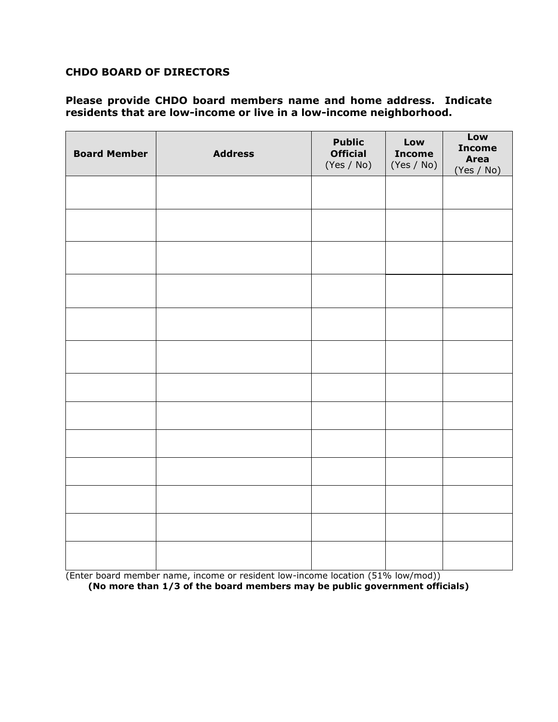## **CHDO BOARD OF DIRECTORS**

## **Please provide CHDO board members name and home address. Indicate residents that are low-income or live in a low-income neighborhood.**

| <b>Board Member</b> | <b>Address</b> | <b>Public</b><br><b>Official</b><br>(Yes / No) | Low<br><b>Income</b><br>(Yes / No) | Low<br><b>Income</b><br><b>Area</b><br>(Yes / No) |
|---------------------|----------------|------------------------------------------------|------------------------------------|---------------------------------------------------|
|                     |                |                                                |                                    |                                                   |
|                     |                |                                                |                                    |                                                   |
|                     |                |                                                |                                    |                                                   |
|                     |                |                                                |                                    |                                                   |
|                     |                |                                                |                                    |                                                   |
|                     |                |                                                |                                    |                                                   |
|                     |                |                                                |                                    |                                                   |
|                     |                |                                                |                                    |                                                   |
|                     |                |                                                |                                    |                                                   |
|                     |                |                                                |                                    |                                                   |
|                     |                |                                                |                                    |                                                   |
|                     |                |                                                |                                    |                                                   |
|                     |                |                                                |                                    |                                                   |

(Enter board member name, income or resident low-income location (51% low/mod)) **(No more than 1/3 of the board members may be public government officials)**